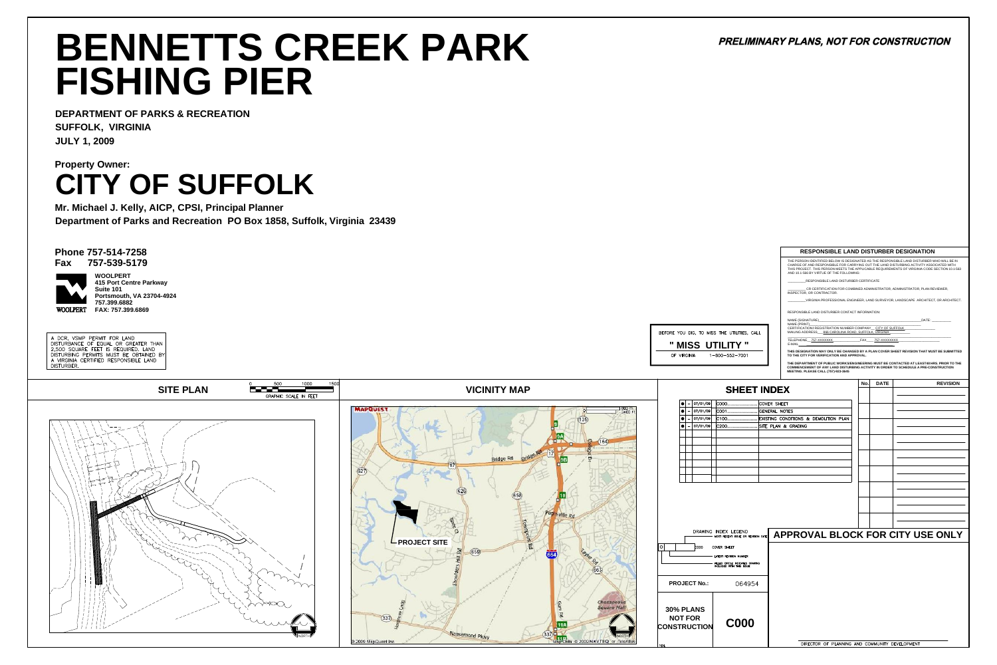THE PERSON IDENTIFIED BELOW IS DESIGNATED AS THE RESPONSIBLE LAND DISTURBER WHO WILL BE IN CHARGE OF AND RESPONSIBLE FOR CARRYING OUT THE LAND DISTURBING ACTIVITY ASSOCIATED WITH THIS PROJECT. THIS PERSON MEETS THE APPLICABLE REQUIREMENTS OF VIRGINIA CODE SECTION 10.1-563 AND 10.1-566 BY VIRTUE OF THE FOLLOWING:

NAME (SIGNATURE)\_\_\_\_\_\_\_\_\_\_\_\_\_\_\_\_\_\_\_\_\_\_\_\_\_\_\_\_\_\_\_\_\_\_\_\_\_\_\_\_\_\_\_\_\_\_\_\_\_\_\_\_\_\_\_\_\_DATE: \_\_\_\_\_\_\_\_\_\_\_ NAME (PRINT)

CERTIFICATION/ REGISTRATION NUMBER COMPANY \_\_ CITY OF SUFFOLK MAILING ADDRESS\_\_\_ 866 CAROLINA ROAD, SUFFOLK, VIRGINIA

\_\_\_\_\_\_\_\_\_\_RESPONSIBLE LAND DISTURBER CERTIFICATE

\_\_\_\_\_\_\_\_\_\_ CR CERTIFICATION FOR COMBINED ADMINISTRATOR, ADMINISTRATOR, PLAN REVIEWER,

\_\_\_\_\_\_\_\_\_\_\_\_\_\_\_\_\_\_\_\_\_\_\_\_\_\_\_\_\_\_\_\_\_\_\_\_\_\_\_\_\_\_\_\_\_\_\_\_\_\_\_\_\_\_\_\_\_\_\_\_\_\_\_\_\_\_\_\_\_\_\_\_\_\_\_\_\_\_\_\_\_\_\_\_\_\_\_\_\_\_\_ TELEPHONE\_\_757-XXXXXXX \_\_\_\_\_\_\_\_\_\_\_\_\_\_\_FAX\_\_\_\_ 757-XXXXXXXX \_\_\_\_\_\_\_\_\_\_\_\_\_\_\_\_\_\_\_\_\_\_\_  $E$ -MAIL

INSPECTOR, OR CONTRACTOR.

\_\_\_\_\_\_\_\_\_\_VIRGINIA PROFESSIONAL ENGINEER, LAND SURVEYOR, LANDSCAPE ARCHITECT, OR ARCHITECT.

RESPONSIBLE LAND DISTURBER CONTACT INFORMATION:



BEFORE YOU DIG, TO MISS THE UTILITIES, CALL **" MISS UTILITY "** OF VIRGINIA 1-800-552-7001

## PRELIMINARY PLANS, NOT FOR CONSTRUCTION

**THIS DESIGNATION MAY ONLY BE CHANGED BY A PLAN COVER SHEET REVISION THAT MUST BE SUBMITTED TO THE CITY FOR VERIFICATION AND APPROVAL.**

**THE DEPARTMENT OF PUBLIC WORKS/ENGINEERING MUST BE CONTACTED AT LEAST48 HRS. PRIOR TO THE COMMENCEMENT OF ANY LAND DISTURBING ACTIVITY IN ORDER TO SCHEDULE A PRE-CONSTRUCTION MEETING. PLEASE CALL (757)-923-3645**

#### **RESPONSIBLE LAND DISTURBER DESIGNATION**

|                   | <b>SHEET INDEX</b>                                          |  | No. | <b>DATE</b> | <b>REVISION</b>                  |
|-------------------|-------------------------------------------------------------|--|-----|-------------|----------------------------------|
| 07/01/09          | COOO COVER SHEET                                            |  |     |             |                                  |
| 07/01/09          | COO1 GENERAL NOTES                                          |  |     |             |                                  |
| 07/01/09          |                                                             |  |     |             |                                  |
| 07/01/09          | C200 SITE PLAN & GRADING                                    |  |     |             |                                  |
|                   |                                                             |  |     |             |                                  |
|                   |                                                             |  |     |             |                                  |
|                   |                                                             |  |     |             |                                  |
|                   |                                                             |  |     |             |                                  |
|                   |                                                             |  |     |             |                                  |
|                   |                                                             |  |     |             |                                  |
|                   |                                                             |  |     |             |                                  |
|                   |                                                             |  |     |             |                                  |
|                   |                                                             |  |     |             |                                  |
|                   |                                                             |  |     |             |                                  |
|                   |                                                             |  |     |             |                                  |
|                   |                                                             |  |     |             |                                  |
|                   |                                                             |  |     |             |                                  |
|                   | DRAWING INDEX LEGEND<br>MOST RECENT ISSUE OR REVISION DATE  |  |     |             | APPROVAL BLOCK FOR CITY USE ONLY |
| cooo              | <b>COVER SHEET</b>                                          |  |     |             |                                  |
|                   | LATEST REVISION NUMBER                                      |  |     |             |                                  |
|                   | FILLED CIRCLE INDICATES DRAWING<br>INCLUDED WITH THIS ISSUE |  |     |             |                                  |
|                   |                                                             |  |     |             |                                  |
|                   |                                                             |  |     |             |                                  |
| T No.:            | 064954                                                      |  |     |             |                                  |
|                   |                                                             |  |     |             |                                  |
| <b>INS</b><br>R). |                                                             |  |     |             |                                  |
| <b>CTION</b>      | <b>C000</b>                                                 |  |     |             |                                  |



**Phone 757-514-7258 Fax 757-539-5179**



**DEPARTMENT OF PARKS & RECREATION SUFFOLK, VIRGINIA JULY 1, 2009**

# **BENNETTS CREEK PARK FISHING PIER**

**Department of Parks and Recreation PO Box 1858, Suffolk, Virginia 23439 Mr. Michael J. Kelly, AICP, CPSI, Principal Planner**

**CITY OF SUFFOLK Property Owner:**

**415 Port Centre Parkway Suite 101 Portsmouth, VA 23704-4924 757.399.6882 FAX: 757.399.6869 WOOLPERT**

A DCR, VSMP PERMIT FOR LAND DISTURBANCE OF EQUAL OR GREATER THAN 2,500 SQUARE FEET IS REQUIRED. LAND DISTURBING PERMITS MUST BE OBTAINED BY A VIRGINIA CERTIFIED RESPONSIBLE LAND DISTURBER.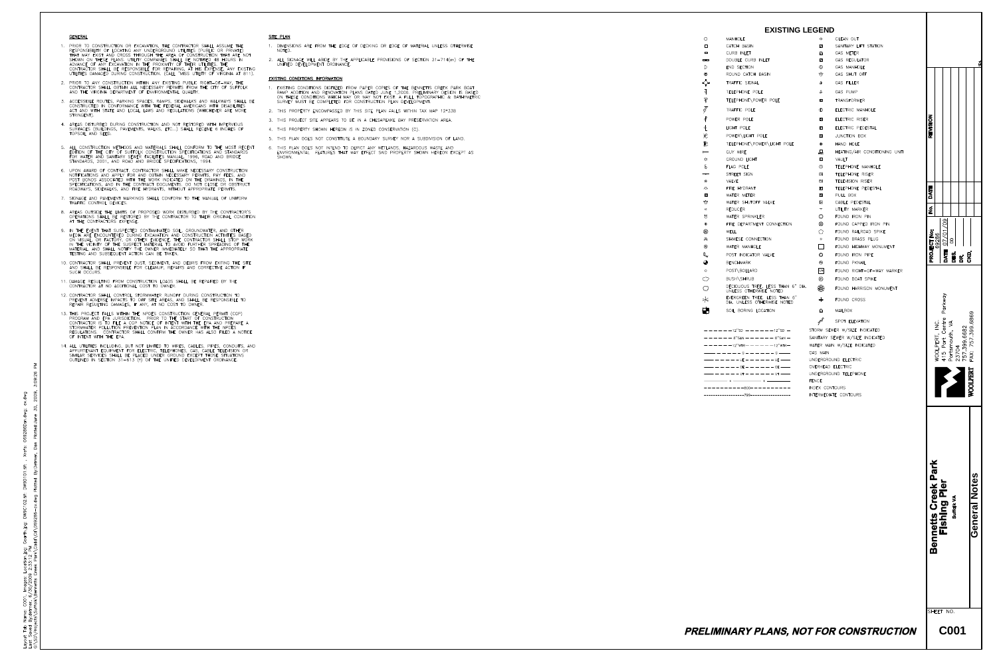**GENERAL** 

- 1. PRIOR TO CONSTRUCTION OR EXCAVATION, THE CONTRACTOR SHALL ASSUME THE RESPONSIBILITY OF LOCATING ANY UNDERGROUND UTILITIES (PUBLIC OR PRIVATE) THAT MAY EXIST AND CROSS THROUGH THE AREA OF CONSTRUCTION THAT ARE NOT SHOWN ON THESE PLANS. UTILITY COMPANIES SHALL BE NOTIFIED 48 HOURS IN ADVANCE OF ANY EXCAVATION IN THE PROXIMITY OF THEIR UTILITIES. THE CONTRACTOR SHALL BE RESPONSIBLE FOR REPAIRING, AT HIS EXPENSE, ANY EXISTING UTILITIES DAMAGED DURING CONSTRUCTION. (CALL "MISS UTILITY OF VIRGINIA AT 811).
- 2. PRIOR TO ANY CONSTRUCTION WITHIN ANY EXISTING PUBLIC RIGHT-OF-WAY, THE CONTRACTOR SHALL OBTAIN ALL NECESSARY PERMITS FROM THE CITY OF SUFFOLK AND THE VIRGINIA DEPARTMENT OF ENVIRONMENTAL QUALITY.
- 3. ACCESSIBLE ROUTES, PARKING SPACES, RAMPS, SIDEWALKS AND WALKWAYS SHALL BE CONSTRUCTED IN CONFORMANCE WITH THE FEDERAL AMERICANS WITH DISABILITIES ACT AND WITH STATE AND LOCAL LAWS AND REGULATIONS (WHICHEVER ARE MORE STRINGENT).
- 4. AREAS DISTURBED DURING CONSTRUCTION AND NOT RESTORED WITH IMPERVIOUS SURFACES (BUILDINGS, PAVEMENTS, WALKS, ETC...) SHALL RECEIVE 6 INCHES OF TOPSOIL AND SEED.
- 5. ALL CONSTRUCTION METHODS AND MATERIALS SHALL CONFORM TO THE MOST RECENT EDITION OF THE CITY OF SUFFOLK CONSTRUCTION SPECIFICATIONS AND STANDARDS FOR WATER AND SANITARY SEWER FACILITIES MANUAL, 1996, ROAD AND BRIDGE STANDARDS, 2001, AND ROAD AND BRIDGE SPECIFICATIONS, 1994.
- 6. UPON AWARD OF CONTRACT, CONTRACTOR SHALL MAKE NECESSARY CONSTRUCTION NOTIFICATIONS AND APPLY FOR AND OBTAIN NECESSARY PERMITS, PAY FEES, AND POST BONDS ASSOCIATED WITH THE WORK INDICATED ON THE DRAWINGS, IN THE SPECIFICATIONS, AND IN THE CONTRACT DOCUMENTS. DO NOT CLOSE OR OBSTRUCT ROADWAYS, SIDEWALKS, AND FIRE HYDRANTS, WITHOUT APPROPRIATE PERMITS.
- 7. SIGNAGE AND PAVEMENT MARKINGS SHALL CONFORM TO THE MANUAL OF UNIFORM TRAFFIC CONTROL DEVICES.
- 8. AREAS OUTSIDE THE LIMITS OF PROPOSED WORK DISTURBED BY THE CONTRACTOR'S OPERATIONS SHALL BE RESTORED BY THE CONTRACTOR TO THEIR ORIGINAL CONDITION AT THE CONTRACTORS EXPENSE.
- 9. IN THE EVENT THAT SUSPECTED CONTAMINATED SOIL, GROUNDWATER, AND OTHER MEDIA ARE ENCOUNTERED DURING EXCAVATION AND CONSTRUCTION ACTIVITIES BASED ON VISUAL, OR FACTORY, OR OTHER EVIDENCE, THE CONTRACTOR SHALL STOP WORK IN THE VICINITY OF THE SUSPECT MATERIAL TO AVOID FURTHER SPREADING OF THE MATERIAL, AND SHALL NOTIFY THE OWNER IMMEDIATELY SO THAT THE APPROPRIATE TESTING AND SUBSEQUENT ACTION CAN BE TAKEN.
- 10. CONTRACTOR SHALL PREVENT DUST, SEDIMENT, AND DEBRIS FROM EXITING THE SITE AND SHALL BE RESPONSIBLE FOR CLEANUP, REPAIRS AND CORRECTIVE ACTION IF SUCH OCCURS.
- 11. DAMAGE RESULTING FROM CONSTRUCTION LOADS SHALL BE REPAIRED BY THE CONTRACTOR AT NO ADDITIONAL COST TO OWNER.
- 12. CONTRACTOR SHALL CONTROL STORMWATER RUNOFF DURING CONSTRUCTION TO PREVENT ADVERSE IMPACTS TO OFF SITE AREAS, AND SHALL BE RESPONSIBLE TO REPAIR RESULTING DAMAGES, IF ANY, AT NO COST TO OWNER.
- 13. THIS PROJECT FALLS WITHIN THE NPDES CONSTRUCTION GENERAL PERMIT (CGP) PROGRAM AND EPA JURISDICTION. PRIOR TO THE START OF CONSTRUCTION CONTRACTOR IS TO FILE A CGP NOTICE OF INTENT WITH THE EPA AND PREPARE A STORMWATER POLLUTION PREVENTION PLAN IN ACCORDANCE WITH THE NPDES REGULATIONS. CONTRACTOR SHALL CONFIRM THE OWNER HAS ALSO FILED A NOTICE OF INTENT WITH THE EPA.
- 14. ALL UTILITIES INCLUDING, BUT NOT LIMITED TO WIRES, CABLES, PIPES, CONDUITS, AND APPURTENANT EQUIPMENT FOR ELECTRIC, TELEPHONES, GAS, CABLE TELEVISION OR SIMILAR SERVICES SHALL BE PLACED UNDER GROUND EXCEPT THOSE SITUATIONS OUTLINED IN SECTION 31-613 (f) OF THE UNIFIED DEVELOPMENT ORDINANCE.

#### SITE PLAN

- NOTED.
- UNIFIED DEVELOPMENT ORDINANCE.

#### **EXISTING CONDITIONS INFORMATION**

- 
- 
- 
- 
- 
- 6. THIS PLAN DOES NOT INTEND TO DEPICT ANY WETLANDS, HAZARDOUS WASTE AND SHOWN.

1. DIMENSIONS ARE FROM THE EDGE OF DECKING OR EDGE OF MATERIAL UNLESS OTHERWISE

2. ALL SIGNAGE WILL ABIDE BY THE APPLICABLE PROVISIONS OF SECTION 31-714(m) OF THE

1. EXISTING CONDITIONS DIGITIZED FROM PAPER COPIES OF THE BENNETTS CREEK PARK BOAT RAMP ADDITION AND RENOVATION PLANS DATED JUNE 1,2006. PRELIMINARY DESIGN IS BASED ON THESE CONDITIONS WHICH MAY OR MAY NOT EXIST. A FULL TOPOGRAPHIC & BATHYMETRIC SURVEY MUST BE COMPLETED FOR CONSTRUCTION PLAN DEVELOPMENT.

2. THIS PROPERTY ENCOMPASSED BY THIS SITE PLAN FALLS WITHIN TAX MAP 12\*33B

3. THIS PROJECT SITE APPEARS TO BE IN A CHESAPEAKE BAY PRESERVATION AREA.

4. THIS PROPERTY SHOWN HEREON IS IN ZONED CONSERVATION (C).

5. THIS PLAN DOES NOT CONSTITUTE A BOUNDARY SURVEY NOR A SUBDIVISION OF LAND.

ENVIRONMENTAL FEATURES THAT MAY EFFECT SAID PROPERTY SHOWN HEREON EXCEPT AS

|                | <b>EXISTING LEGEND</b>                                                      |                                |                               |                                     |                                                 |
|----------------|-----------------------------------------------------------------------------|--------------------------------|-------------------------------|-------------------------------------|-------------------------------------------------|
|                | MANHOLE                                                                     | $\Theta$                       | CLEAN OUT                     |                                     |                                                 |
|                | CATCH BASIN                                                                 | $\mathsf{LS}$                  | SANITARY LIFT STATION         |                                     |                                                 |
| $\Box$         | CURB INLET                                                                  | ◙                              | GAS METER                     |                                     |                                                 |
| O              | DOUBLE CURB INLET                                                           | $\oslash$                      | GAS REGULATOR                 |                                     |                                                 |
|                | END SECTION                                                                 | $\circledcirc$                 | GAS MANHOLE                   |                                     |                                                 |
| F)             | ROUND CATCH BASIN                                                           | ಳ್ರ್                           | GAS SHUT OFF                  |                                     |                                                 |
|                | TRAFFIC SIGNAL                                                              | $rac{\circ}{\text{GF}}$        | <b>GAS FILLER</b>             |                                     |                                                 |
|                | TELEPHONE POLE                                                              | $\overset{\circ}{\mathsf{GP}}$ | GAS PUMP                      |                                     |                                                 |
|                | TELEPHONE\POWER POLE                                                        | $\Delta$                       | <b>TRANSFORMER</b>            |                                     |                                                 |
|                | TRAFFIC POLE                                                                | $\bigoplus$                    | ELECTRIC MANHOLE              |                                     |                                                 |
|                | POWER POLE                                                                  | ER                             | ELECTRIC RISER                |                                     |                                                 |
|                | LIGHT POLE                                                                  | EP                             | ELECTRIC PEDESTAL             | <b>REVISION</b>                     |                                                 |
|                | POWER\LIGHT POLE                                                            | JB                             | JUNCTION BOX                  |                                     |                                                 |
| $\lesssim$     | TELEPHONE\POWER\LIGHT POLE                                                  | $\bigoplus$                    | HAND HOLE                     |                                     |                                                 |
|                | GUY WIRE                                                                    | $\Box$                         | HEATING/AIR CONDITIONING UNIT |                                     |                                                 |
|                | GROUND LIGHT                                                                | $\sqrt{ }$                     | VAULT                         |                                     |                                                 |
|                | FLAG POLE                                                                   | $\circled{1}$                  | TELEPHONE MANHOLE             |                                     |                                                 |
| $\overline{ }$ | STREET SIGN                                                                 | <b>TR</b>                      | TELEPHONE RISER               |                                     |                                                 |
|                | VALVE                                                                       | TV                             | TELEVISION RISER              |                                     |                                                 |
|                | FIRE HYDRANT                                                                | $\mathbb{F}$                   | TELEPHONE PEDESTAL            | Ш<br>E                              |                                                 |
| ⅀              | WATER METER                                                                 | PB                             | PULL BOX                      | $\blacktriangleleft$<br>Q           |                                                 |
| ip.            | WATER SHUTOFF VALVE                                                         | $\boxed{CA}$                   | CABLE PEDESTAL                |                                     |                                                 |
|                | <b>REDUCER</b>                                                              | T                              | UTILITY MARKER                | $\dot{\mathbf{z}}$                  |                                                 |
| ş              | WATER SPRINKLER                                                             | $\circledcirc$                 | FOUND IRON PIN                |                                     |                                                 |
|                | FIRE DEPARTMENT CONNECTION                                                  | $\circledR$                    | FOUND CAPPED IRON PIN         | 60 <sub>2</sub>                     |                                                 |
| D)             | WELL                                                                        | $\bigcap$                      | FOUND RAILROAD SPIKE          | $\frac{1}{2}$<br>$\circ$            |                                                 |
| ગ્રે           | SIAMESE CONNECTION                                                          | $\circ$                        | FOUND BRASS PLUG              | $\overline{O}$                      | 6                                               |
|                | WATER MANHOLE                                                               |                                | FOUND HIGHWAY MONUMENT        |                                     |                                                 |
| 'N             | POST INDICATOR VALVE                                                        | $\circ$                        | FOUND IRON PIPE               | <b>PROJECT No<br/>69286</b><br>DATE | DES<br><b>SKD</b>                               |
|                | <b>BENCHMARK</b>                                                            | ⊛                              | FOUND PKNAIL                  |                                     | B                                               |
|                | POST\BOLLARD                                                                | R/W                            | FOUND RIGHT-OF-WAY MARKER     |                                     |                                                 |
| $\mathcal{C}$  | BUSH\SHRUB                                                                  | ୠ                              | FOUND BOAT SPIKE              |                                     |                                                 |
|                | DECIDUOUS TREE, LESS THAN 6" DIA.<br>UNLESS OTHERWISE NOTED                 | ❀                              | FOUND HARRISON MONUMENT       |                                     |                                                 |
| $\leqslant$    | EVERGREEN TREE, LESS THAN 6"<br>DIA. UNLESS OTHERWISE NOTED                 | $+$                            | FOUND CROSS                   | Parkway                             |                                                 |
|                | SOIL BORING LOCATION                                                        | $\circledcirc$                 | MAILBOX                       |                                     | 69                                              |
|                |                                                                             | <b>P</b> 99999                 | SPOT ELEVATION                | $\frac{1}{2}$                       | .68<br>entre<br>MA                              |
|                | $- - - - - -$ 12"sd $- - - - - -$ 12"sd $-$ Storm sewer w/size indicated    |                                |                               | $\mathsf C$                         | 3682<br>399.                                    |
|                | ------8"san------8"san- SANITARY SEWER W/SIZE INDICATED                     |                                |                               | Port                                | rtsmouth,<br>0.6<br>57.                         |
|                | $- - - - - -$ 12''wtr $- - - - - -$ 12''wtr $-$ Water Main w/size indicated |                                |                               |                                     | $\overline{O}$ $\overline{N}$<br>$\overline{M}$ |
|                |                                                                             |                                |                               | WOOLPERT,<br>$\sigma$               | 757.<br>FAX:                                    |
|                | —— — — — — — UE — — — — — — UE ——                                           |                                | UNDERGROUND ELECTRIC          |                                     | $400$ $25$                                      |
|                |                                                                             | OVERHEAD ELECTRIC              |                               |                                     |                                                 |
|                | $------III------III$                                                        |                                | UNDERGROUND TELEPHONE         |                                     | <b>DLPERT</b>                                   |
|                |                                                                             | <b>FENCE</b><br>INDEX CONTOURS |                               |                                     |                                                 |
|                |                                                                             |                                |                               |                                     |                                                 |

INTERMEDIATE CONTOURS

### $-799-$

## PRELIMINARY PLANS, NOT FOR CONSTRUCTION

SHEET NO.

**C001** 

Park

Bennetts Creek<br>Fishing Pier

**WOOI** 

General Notes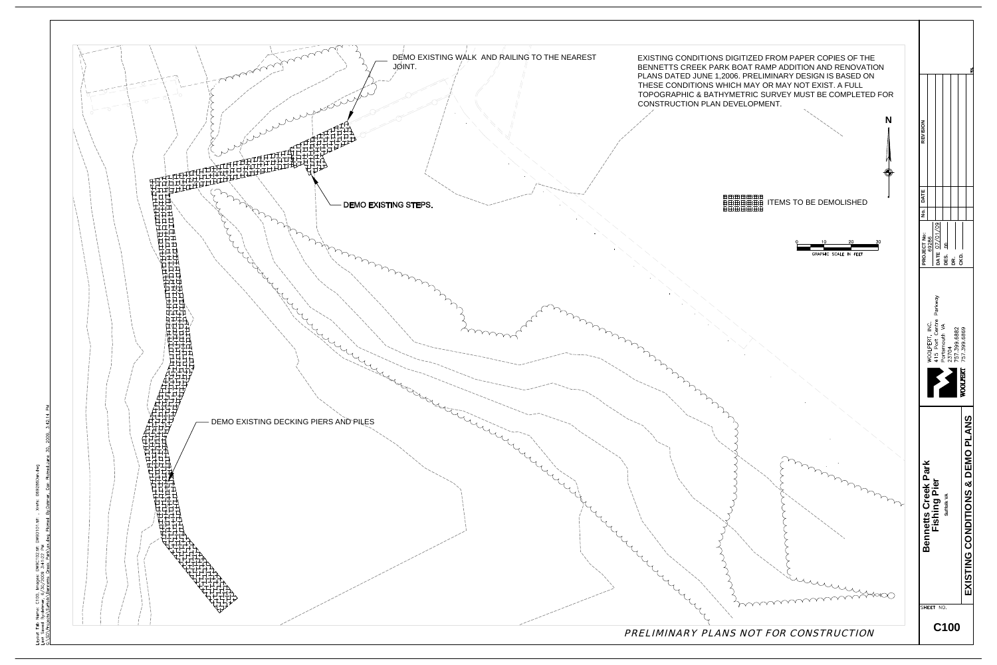